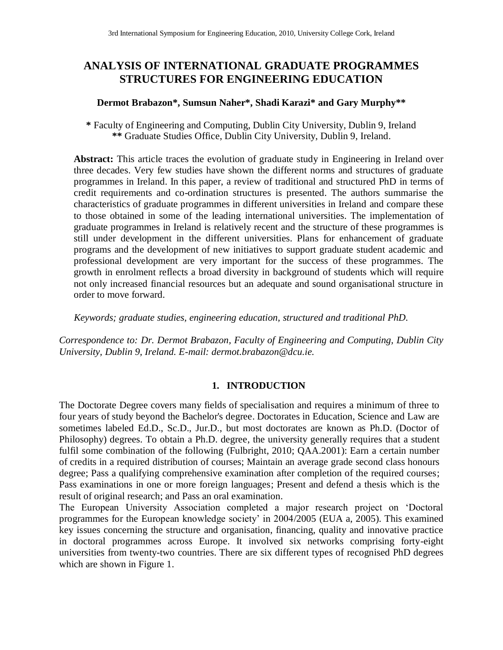# **ANALYSIS OF INTERNATIONAL GRADUATE PROGRAMMES STRUCTURES FOR ENGINEERING EDUCATION**

### **Dermot Brabazon\*, Sumsun Naher\*, Shadi Karazi\* and Gary Murphy\*\***

**\*** Faculty of Engineering and Computing, Dublin City University, Dublin 9, Ireland **\*\*** Graduate Studies Office, Dublin City University, Dublin 9, Ireland.

**Abstract:** This article traces the evolution of graduate study in Engineering in Ireland over three decades. Very few studies have shown the different norms and structures of graduate programmes in Ireland. In this paper, a review of traditional and structured PhD in terms of credit requirements and co-ordination structures is presented. The authors summarise the characteristics of graduate programmes in different universities in Ireland and compare these to those obtained in some of the leading international universities. The implementation of graduate programmes in Ireland is relatively recent and the structure of these programmes is still under development in the different universities. Plans for enhancement of graduate programs and the development of new initiatives to support graduate student academic and professional development are very important for the success of these programmes. The growth in enrolment reflects a broad diversity in background of students which will require not only increased financial resources but an adequate and sound organisational structure in order to move forward.

*Keywords; graduate studies, engineering education, structured and traditional PhD.*

*Correspondence to: Dr. Dermot Brabazon, Faculty of Engineering and Computing, Dublin City University, Dublin 9, Ireland. E-mail: dermot.brabazon@dcu.ie.*

### **1. INTRODUCTION**

The Doctorate Degree covers many fields of specialisation and requires a minimum of three to four years of study beyond the Bachelor's degree. Doctorates in Education, Science and Law are sometimes labeled Ed.D., Sc.D., Jur.D., but most doctorates are known as Ph.D. (Doctor of Philosophy) degrees. To obtain a Ph.D. degree, the university generally requires that a student fulfil some combination of the following (Fulbright, 2010; QAA.2001): Earn a certain number of credits in a required distribution of courses; Maintain an average grade second class honours degree; Pass a qualifying comprehensive examination after completion of the required courses; Pass examinations in one or more foreign languages; Present and defend a thesis which is the result of original research; and Pass an oral examination.

The European University Association completed a major research project on 'Doctoral programmes for the European knowledge society' in 2004/2005 (EUA a, 2005). This examined key issues concerning the structure and organisation, financing, quality and innovative practice in doctoral programmes across Europe. It involved six networks comprising forty-eight universities from twenty-two countries. There are six different types of recognised PhD degrees which are shown in Figure 1.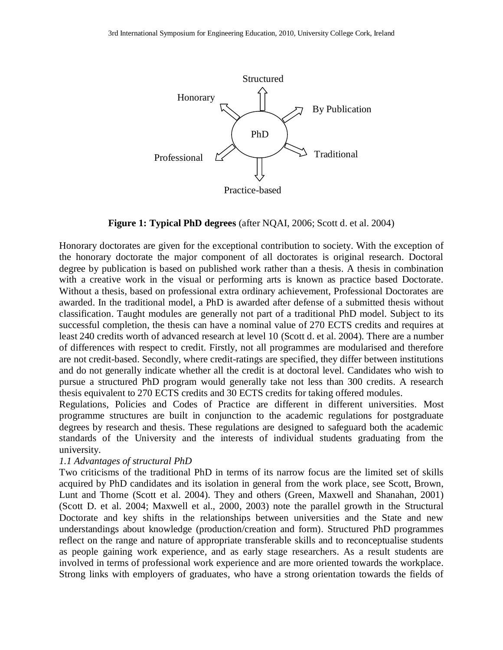

**Figure 1: Typical PhD degrees** (after NQAI, 2006; Scott d. et al. 2004)

Honorary doctorates are given for the exceptional contribution to society. With the exception of the honorary doctorate the major component of all doctorates is original research. Doctoral degree by publication is based on published work rather than a thesis. A thesis in combination with a creative work in the visual or performing arts is known as practice based Doctorate. Without a thesis, based on professional extra ordinary achievement, Professional Doctorates are awarded. In the traditional model, a PhD is awarded after defense of a submitted thesis without classification. Taught modules are generally not part of a traditional PhD model. Subject to its successful completion, the thesis can have a nominal value of 270 ECTS credits and requires at least 240 credits worth of advanced research at level 10 (Scott d. et al. 2004). There are a number of differences with respect to credit. Firstly, not all programmes are modularised and therefore are not credit-based. Secondly, where credit-ratings are specified, they differ between institutions and do not generally indicate whether all the credit is at doctoral level. Candidates who wish to pursue a structured PhD program would generally take not less than 300 credits. A research thesis equivalent to 270 ECTS credits and 30 ECTS credits for taking offered modules.

Regulations, Policies and Codes of Practice are different in different universities. Most programme structures are built in conjunction to the academic regulations for postgraduate degrees by research and thesis. These regulations are designed to safeguard both the academic standards of the University and the interests of individual students graduating from the university.

#### *1.1 Advantages of structural PhD*

Two criticisms of the traditional PhD in terms of its narrow focus are the limited set of skills acquired by PhD candidates and its isolation in general from the work place, see Scott, Brown, Lunt and Thorne (Scott et al. 2004). They and others (Green, Maxwell and Shanahan, 2001) (Scott D. et al. 2004; Maxwell et al., 2000, 2003) note the parallel growth in the Structural Doctorate and key shifts in the relationships between universities and the State and new understandings about knowledge (production/creation and form). Structured PhD programmes reflect on the range and nature of appropriate transferable skills and to reconceptualise students as people gaining work experience, and as early stage researchers. As a result students are involved in terms of professional work experience and are more oriented towards the workplace. Strong links with employers of graduates, who have a strong orientation towards the fields of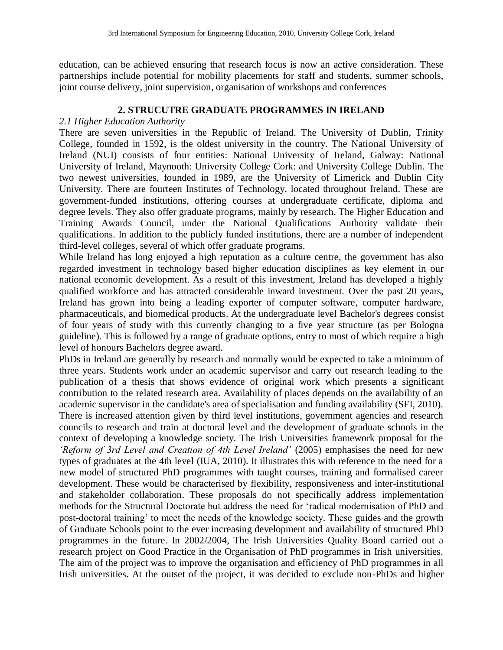education, can be achieved ensuring that research focus is now an active consideration. These partnerships include potential for mobility placements for staff and students, summer schools, joint course delivery, joint supervision, organisation of workshops and conferences

### **2. STRUCUTRE GRADUATE PROGRAMMES IN IRELAND**

### *2.1 Higher Education Authority*

There are seven universities in the Republic of Ireland. The University of Dublin, Trinity College, founded in 1592, is the oldest university in the country. The National University of Ireland (NUI) consists of four entities: National University of Ireland, Galway: National University of Ireland, Maynooth: University College Cork: and University College Dublin. The two newest universities, founded in 1989, are the University of Limerick and Dublin City University. There are fourteen Institutes of Technology, located throughout Ireland. These are government-funded institutions, offering courses at undergraduate certificate, diploma and degree levels. They also offer graduate programs, mainly by research. The Higher Education and Training Awards Council, under the National Qualifications Authority validate their qualifications. In addition to the publicly funded institutions, there are a number of independent third-level colleges, several of which offer graduate programs.

While Ireland has long enjoyed a high reputation as a culture centre, the government has also regarded investment in technology based higher education disciplines as key element in our national economic development. As a result of this investment, Ireland has developed a highly qualified workforce and has attracted considerable inward investment. Over the past 20 years, Ireland has grown into being a leading exporter of computer software, computer hardware, pharmaceuticals, and biomedical products. At the undergraduate level Bachelor's degrees consist of four years of study with this currently changing to a five year structure (as per Bologna guideline). This is followed by a range of graduate options, entry to most of which require a high level of honours Bachelors degree award.

PhDs in Ireland are generally by research and normally would be expected to take a minimum of three years. Students work under an academic supervisor and carry out research leading to the publication of a thesis that shows evidence of original work which presents a significant contribution to the related research area. Availability of places depends on the availability of an academic supervisor in the candidate's area of specialisation and funding availability (SFI, 2010). There is increased attention given by third level institutions, government agencies and research councils to research and train at doctoral level and the development of graduate schools in the context of developing a knowledge society. The Irish Universities framework proposal for the *'Reform of 3rd Level and Creation of 4th Level Ireland'* (2005) emphasises the need for new types of graduates at the 4th level (IUA, 2010). It illustrates this with reference to the need for a new model of structured PhD programmes with taught courses, training and formalised career development. These would be characterised by flexibility, responsiveness and inter-institutional and stakeholder collaboration. These proposals do not specifically address implementation methods for the Structural Doctorate but address the need for 'radical modernisation of PhD and post-doctoral training' to meet the needs of the knowledge society. These guides and the growth of Graduate Schools point to the ever increasing development and availability of structured PhD programmes in the future. In 2002/2004, The Irish Universities Quality Board carried out a research project on Good Practice in the Organisation of PhD programmes in Irish universities. The aim of the project was to improve the organisation and efficiency of PhD programmes in all Irish universities. At the outset of the project, it was decided to exclude non-PhDs and higher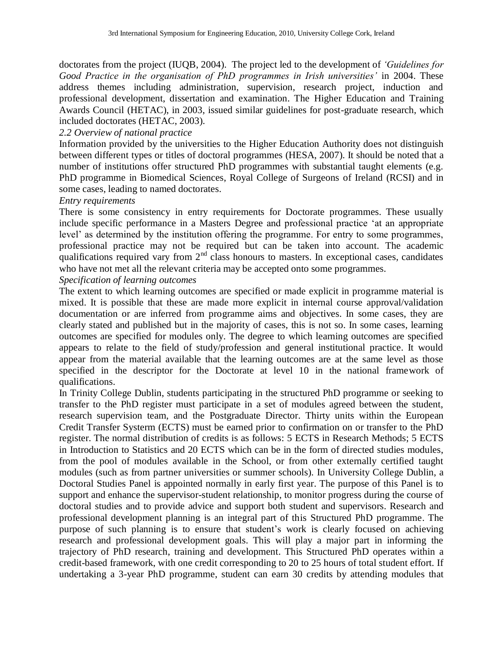doctorates from the project (IUQB, 2004). The project led to the development of *'Guidelines for Good Practice in the organisation of PhD programmes in Irish universities'* in 2004. These address themes including administration, supervision, research project, induction and professional development, dissertation and examination. The Higher Education and Training Awards Council (HETAC), in 2003, issued similar guidelines for post-graduate research, which included doctorates (HETAC, 2003).

### *2.2 Overview of national practice*

Information provided by the universities to the Higher Education Authority does not distinguish between different types or titles of doctoral programmes (HESA, 2007). It should be noted that a number of institutions offer structured PhD programmes with substantial taught elements (e.g. PhD programme in Biomedical Sciences, Royal College of Surgeons of Ireland (RCSI) and in some cases, leading to named doctorates.

#### *Entry requirements*

There is some consistency in entry requirements for Doctorate programmes. These usually include specific performance in a Masters Degree and professional practice 'at an appropriate level' as determined by the institution offering the programme. For entry to some programmes, professional practice may not be required but can be taken into account. The academic qualifications required vary from  $2<sup>nd</sup>$  class honours to masters. In exceptional cases, candidates who have not met all the relevant criteria may be accepted onto some programmes.

# *Specification of learning outcomes*

The extent to which learning outcomes are specified or made explicit in programme material is mixed. It is possible that these are made more explicit in internal course approval/validation documentation or are inferred from programme aims and objectives. In some cases, they are clearly stated and published but in the majority of cases, this is not so. In some cases, learning outcomes are specified for modules only. The degree to which learning outcomes are specified appears to relate to the field of study/profession and general institutional practice. It would appear from the material available that the learning outcomes are at the same level as those specified in the descriptor for the Doctorate at level 10 in the national framework of qualifications.

In Trinity College Dublin, students participating in the structured PhD programme or seeking to transfer to the PhD register must participate in a set of modules agreed between the student, research supervision team, and the Postgraduate Director. Thirty units within the European Credit Transfer Systerm (ECTS) must be earned prior to confirmation on or transfer to the PhD register. The normal distribution of credits is as follows: 5 ECTS in Research Methods; 5 ECTS in Introduction to Statistics and 20 ECTS which can be in the form of directed studies modules, from the pool of modules available in the School, or from other externally certified taught modules (such as from partner universities or summer schools). In University College Dublin, a Doctoral Studies Panel is appointed normally in early first year. The purpose of this Panel is to support and enhance the supervisor-student relationship, to monitor progress during the course of doctoral studies and to provide advice and support both student and supervisors. Research and professional development planning is an integral part of this Structured PhD programme. The purpose of such planning is to ensure that student's work is clearly focused on achieving research and professional development goals. This will play a major part in informing the trajectory of PhD research, training and development. This Structured PhD operates within a credit-based framework, with one credit corresponding to 20 to 25 hours of total student effort. If undertaking a 3-year PhD programme, student can earn 30 credits by attending modules that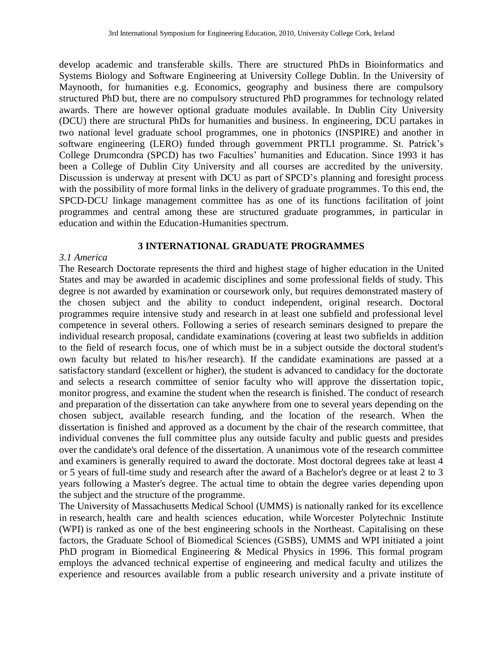develop academic and transferable skills. There are structured PhDs in Bioinformatics and Systems Biology and Software Engineering at University College Dublin. In the University of Maynooth, for humanities e.g. Economics, geography and business there are compulsory structured PhD but, there are no compulsory structured PhD programmes for technology related awards. There are however optional graduate modules available. In Dublin City University (DCU) there are structural PhDs for humanities and business. In engineering, DCU partakes in two national level graduate school programmes, one in photonics (INSPIRE) and another in software engineering (LERO) funded through government PRTLI programme. St. Patrick's College Drumcondra (SPCD) has two Faculties' humanities and Education. Since 1993 it has been a College of Dublin City University and all courses are accredited by the university. Discussion is underway at present with DCU as part of SPCD's planning and foresight process with the possibility of more formal links in the delivery of graduate programmes. To this end, the SPCD-DCU linkage management committee has as one of its functions facilitation of joint programmes and central among these are structured graduate programmes, in particular in education and within the Education-Humanities spectrum.

# **3 INTERNATIONAL GRADUATE PROGRAMMES**

### *3.1 America*

The Research Doctorate represents the third and highest stage of higher education in the United States and may be awarded in academic disciplines and some professional fields of study. This degree is not awarded by examination or coursework only, but requires demonstrated mastery of the chosen subject and the ability to conduct independent, original research. Doctoral programmes require intensive study and research in at least one subfield and professional level competence in several others. Following a series of research seminars designed to prepare the individual research proposal, candidate examinations (covering at least two subfields in addition to the field of research focus, one of which must be in a subject outside the doctoral student's own faculty but related to his/her research). If the candidate examinations are passed at a satisfactory standard (excellent or higher), the student is advanced to candidacy for the doctorate and selects a research committee of senior faculty who will approve the dissertation topic, monitor progress, and examine the student when the research is finished. The conduct of research and preparation of the dissertation can take anywhere from one to several years depending on the chosen subject, available research funding, and the location of the research. When the dissertation is finished and approved as a document by the chair of the research committee, that individual convenes the full committee plus any outside faculty and public guests and presides over the candidate's oral defence of the dissertation. A unanimous vote of the research committee and examiners is generally required to award the doctorate. Most doctoral degrees take at least 4 or 5 years of full-time study and research after the award of a Bachelor's degree or at least 2 to 3 years following a Master's degree. The actual time to obtain the degree varies depending upon the subject and the structure of the programme.

The University of Massachusetts Medical School (UMMS) is nationally ranked for its excellence in research, health care and health sciences education, while Worcester Polytechnic Institute (WPI) is ranked as one of the best engineering schools in the Northeast. Capitalising on these factors, the Graduate School of Biomedical Sciences (GSBS), UMMS and WPI initiated a joint PhD program in Biomedical Engineering & Medical Physics in 1996. This formal program employs the advanced technical expertise of engineering and medical faculty and utilizes the experience and resources available from a public research university and a private institute of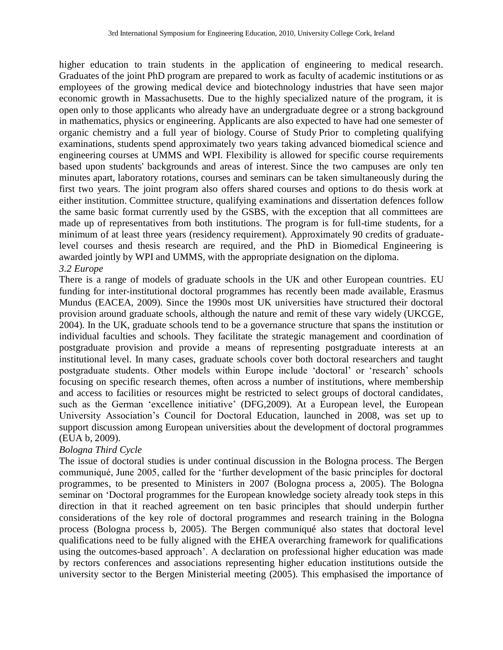higher education to train students in the application of engineering to medical research. Graduates of the joint PhD program are prepared to work as faculty of academic institutions or as employees of the growing medical device and biotechnology industries that have seen major economic growth in Massachusetts. Due to the highly specialized nature of the program, it is open only to those applicants who already have an undergraduate degree or a strong background in mathematics, physics or engineering. Applicants are also expected to have had one semester of organic chemistry and a full year of biology. Course of Study Prior to completing qualifying examinations, students spend approximately two years taking advanced biomedical science and engineering courses at UMMS and WPI. Flexibility is allowed for specific course requirements based upon students' backgrounds and areas of interest. Since the two campuses are only ten minutes apart, laboratory rotations, courses and seminars can be taken simultaneously during the first two years. The joint program also offers shared courses and options to do thesis work at either institution. Committee structure, qualifying examinations and dissertation defences follow the same basic format currently used by the GSBS, with the exception that all committees are made up of representatives from both institutions. The program is for full-time students, for a minimum of at least three years (residency requirement). Approximately 90 credits of graduatelevel courses and thesis research are required, and the PhD in Biomedical Engineering is awarded jointly by WPI and UMMS, with the appropriate designation on the diploma. *3.2 Europe*

There is a range of models of graduate schools in the UK and other European countries. EU funding for inter-institutional doctoral programmes has recently been made available, Erasmus Mundus (EACEA, 2009). Since the 1990s most UK universities have structured their doctoral provision around graduate schools, although the nature and remit of these vary widely (UKCGE, 2004). In the UK, graduate schools tend to be a governance structure that spans the institution or individual faculties and schools. They facilitate the strategic management and coordination of postgraduate provision and provide a means of representing postgraduate interests at an institutional level. In many cases, graduate schools cover both doctoral researchers and taught postgraduate students. Other models within Europe include 'doctoral' or 'research' schools focusing on specific research themes, often across a number of institutions, where membership and access to facilities or resources might be restricted to select groups of doctoral candidates, such as the German 'excellence initiative' (DFG,2009). At a European level, the European University Association's Council for Doctoral Education, launched in 2008, was set up to support discussion among European universities about the development of doctoral programmes (EUA b, 2009).

# *Bologna Third Cycle*

The issue of doctoral studies is under continual discussion in the Bologna process. The Bergen communiqué, June 2005, called for the 'further development of the basic principles for doctoral programmes, to be presented to Ministers in 2007 (Bologna process a, 2005). The Bologna seminar on 'Doctoral programmes for the European knowledge society already took steps in this direction in that it reached agreement on ten basic principles that should underpin further considerations of the key role of doctoral programmes and research training in the Bologna process (Bologna process b, 2005). The Bergen communiqué also states that doctoral level qualifications need to be fully aligned with the EHEA overarching framework for qualifications using the outcomes-based approach'. A declaration on professional higher education was made by rectors conferences and associations representing higher education institutions outside the university sector to the Bergen Ministerial meeting (2005). This emphasised the importance of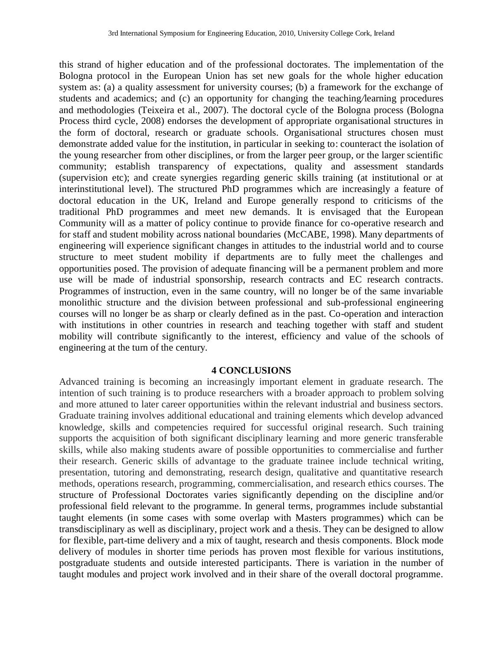this strand of higher education and of the professional doctorates. The implementation of the Bologna protocol in the European Union has set new goals for the whole higher education system as: (a) a quality assessment for university courses; (b) a framework for the exchange of students and academics; and (c) an opportunity for changing the teaching*/*learning procedures and methodologies (Teixeira et al., 2007). The doctoral cycle of the Bologna process (Bologna Process third cycle, 2008) endorses the development of appropriate organisational structures in the form of doctoral, research or graduate schools. Organisational structures chosen must demonstrate added value for the institution, in particular in seeking to: counteract the isolation of the young researcher from other disciplines, or from the larger peer group, or the larger scientific community; establish transparency of expectations, quality and assessment standards (supervision etc); and create synergies regarding generic skills training (at institutional or at interinstitutional level). The structured PhD programmes which are increasingly a feature of doctoral education in the UK, Ireland and Europe generally respond to criticisms of the traditional PhD programmes and meet new demands. It is envisaged that the European Community will as a matter of policy continue to provide finance for co-operative research and for staff and student mobility across national boundaries (McCABE, 1998). Many departments of engineering will experience significant changes in attitudes to the industrial world and to course structure to meet student mobility if departments are to fully meet the challenges and opportunities posed. The provision of adequate financing will be a permanent problem and more use will be made of industrial sponsorship, research contracts and EC research contracts. Programmes of instruction, even in the same country, will no longer be of the same invariable monolithic structure and the division between professional and sub-professional engineering courses will no longer be as sharp or clearly defined as in the past. Co-operation and interaction with institutions in other countries in research and teaching together with staff and student mobility will contribute significantly to the interest, efficiency and value of the schools of engineering at the turn of the century.

#### **4 CONCLUSIONS**

Advanced training is becoming an increasingly important element in graduate research. The intention of such training is to produce researchers with a broader approach to problem solving and more attuned to later career opportunities within the relevant industrial and business sectors. Graduate training involves additional educational and training elements which develop advanced knowledge, skills and competencies required for successful original research. Such training supports the acquisition of both significant disciplinary learning and more generic transferable skills, while also making students aware of possible opportunities to commercialise and further their research. Generic skills of advantage to the graduate trainee include technical writing, presentation, tutoring and demonstrating, research design, qualitative and quantitative research methods, operations research, programming, commercialisation, and research ethics courses. The structure of Professional Doctorates varies significantly depending on the discipline and/or professional field relevant to the programme. In general terms, programmes include substantial taught elements (in some cases with some overlap with Masters programmes) which can be transdisciplinary as well as disciplinary, project work and a thesis. They can be designed to allow for flexible, part-time delivery and a mix of taught, research and thesis components. Block mode delivery of modules in shorter time periods has proven most flexible for various institutions, postgraduate students and outside interested participants. There is variation in the number of taught modules and project work involved and in their share of the overall doctoral programme.